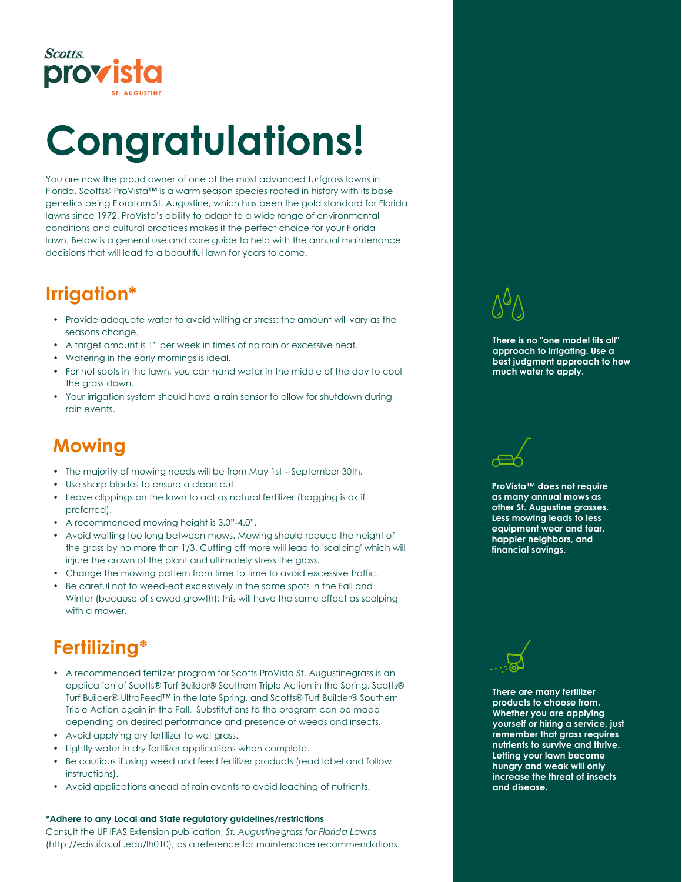

# **Congratulations!**

You are now the proud owner of one of the most advanced turfgrass lawns in Florida. Scotts® ProVista™ is a warm season species rooted in history with its base genetics being Floratam St. Augustine, which has been the gold standard for Florida lawns since 1972. ProVista's ability to adapt to a wide range of environmental conditions and cultural practices makes it the perfect choice for your Florida lawn. Below is a general use and care guide to help with the annual maintenance decisions that will lead to a beautiful lawn for years to come.

### **Irrigation\***

- Provide adequate water to avoid wilting or stress; the amount will vary as the seasons change.
- A target amount is 1" per week in times of no rain or excessive heat.
- Watering in the early mornings is ideal.
- For hot spots in the lawn, you can hand water in the middle of the day to cool the grass down.
- Your irrigation system should have a rain sensor to allow for shutdown during rain events.

### **Mowing**

- The majority of mowing needs will be from May 1st September 30th.
- Use sharp blades to ensure a clean cut.
- Leave clippings on the lawn to act as natural fertilizer (bagging is ok if preferred).
- A recommended mowing height is 3.0"-4.0".
- Avoid waiting too long between mows. Mowing should reduce the height of the grass by no more than 1/3. Cutting off more will lead to 'scalping' which will injure the crown of the plant and ultimately stress the grass.
- Change the mowing pattern from time to time to avoid excessive traffic.
- Be careful not to weed-eat excessively in the same spots in the Fall and Winter (because of slowed growth); this will have the same effect as scalping with a mower

# **Fertilizing\***

- A recommended fertilizer program for Scotts ProVista St. Augustinegrass is an application of Scotts® Turf Builder® Southern Triple Action in the Spring, Scotts® Turf Builder® UltraFeed™ in the late Spring, and Scotts® Turf Builder® Southern Triple Action again in the Fall. Substitutions to the program can be made depending on desired performance and presence of weeds and insects.
- Avoid applying dry fertilizer to wet grass.
- Lightly water in dry fertilizer applications when complete.
- Be cautious if using weed and feed fertilizer products (read label and follow instructions).
- Avoid applications ahead of rain events to avoid leaching of nutrients.

### **\*Adhere to any Local and State regulatory guidelines/restrictions**

Consult the UF IFAS Extension publication, *St. Augustinegrass for Florida Lawns*  (http://edis.ifas.ufl.edu/lh010), as a reference for maintenance recommendations.

**There is no "one model fits all" approach to irrigating. Use a best judgment approach to how much water to apply.**

**ProVista™ does not require as many annual mows as other St. Augustine grasses. Less mowing leads to less equipment wear and tear, happier neighbors, and financial savings.**

**There are many fertilizer products to choose from. Whether you are applying yourself or hiring a service, just remember that grass requires nutrients to survive and thrive. Letting your lawn become hungry and weak will only increase the threat of insects and disease.**